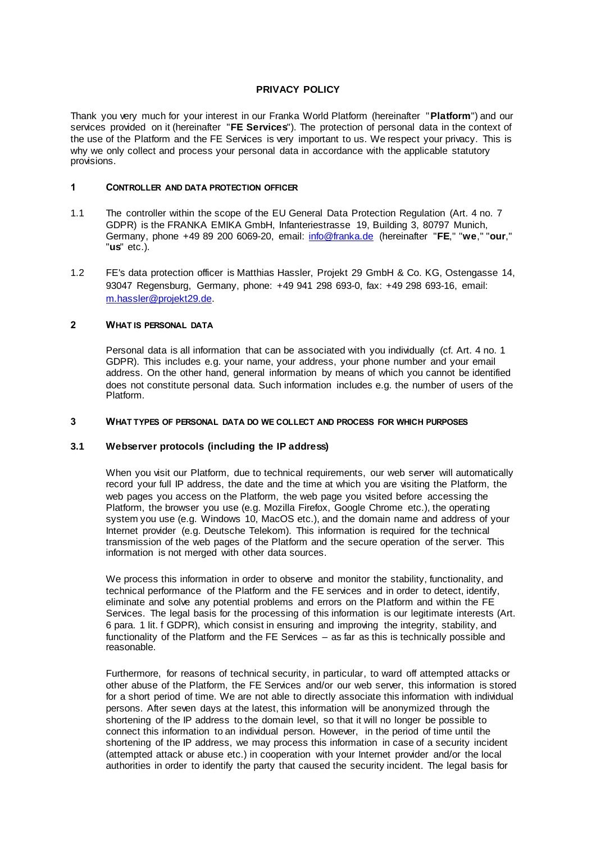## **PRIVACY POLICY**

Thank you very much for your interest in our Franka World Platform (hereinafter "**Platform**") and our services provided on it (hereinafter "**FE Services**"). The protection of personal data in the context of the use of the Platform and the FE Services is very important to us. We respect your privacy. This is why we only collect and process your personal data in accordance with the applicable statutory provisions.

## **1 CONTROLLER AND DATA PROTECTION OFFICER**

- 1.1 The controller within the scope of the EU General Data Protection Regulation (Art. 4 no. 7 GDPR) is the FRANKA EMIKA GmbH, Infanteriestrasse 19, Building 3, 80797 Munich, Germany, phone +49 89 200 6069-20, email: [info@franka.de](mailto:info@franka.de) (hereinafter "**FE**," "**we**," "**our**," "**us**" etc.).
- 1.2 FE's data protection officer is Matthias Hassler, Projekt 29 GmbH & Co. KG, Ostengasse 14, 93047 Regensburg, Germany, phone: +49 941 298 693-0, fax: +49 298 693-16, email: [m.hassler@projekt29.de.](mailto:m.hassler@projekt29.de)

# **2 WHAT IS PERSONAL DATA**

Personal data is all information that can be associated with you individually (cf. Art. 4 no. 1 GDPR). This includes e.g. your name, your address, your phone number and your email address. On the other hand, general information by means of which you cannot be identified does not constitute personal data. Such information includes e.g. the number of users of the Platform.

### **3 WHAT TYPES OF PERSONAL DATA DO WE COLLECT AND PROCESS FOR WHICH PURPOSES**

## **3.1 Webserver protocols (including the IP address)**

When you visit our Platform, due to technical requirements, our web server will automatically record your full IP address, the date and the time at which you are visiting the Platform, the web pages you access on the Platform, the web page you visited before accessing the Platform, the browser you use (e.g. Mozilla Firefox, Google Chrome etc.), the operating system you use (e.g. Windows 10, MacOS etc.), and the domain name and address of your Internet provider (e.g. Deutsche Telekom). This information is required for the technical transmission of the web pages of the Platform and the secure operation of the server. This information is not merged with other data sources.

We process this information in order to observe and monitor the stability, functionality, and technical performance of the Platform and the FE services and in order to detect, identify, eliminate and solve any potential problems and errors on the Platform and within the FE Services. The legal basis for the processing of this information is our legitimate interests (Art. 6 para. 1 lit. f GDPR), which consist in ensuring and improving the integrity, stability, and functionality of the Platform and the FE Services – as far as this is technically possible and reasonable.

Furthermore, for reasons of technical security, in particular, to ward off attempted attacks or other abuse of the Platform, the FE Services and/or our web server, this information is stored for a short period of time. We are not able to directly associate this information with individual persons. After seven days at the latest, this information will be anonymized through the shortening of the IP address to the domain level, so that it will no longer be possible to connect this information to an individual person. However, in the period of time until the shortening of the IP address, we may process this information in case of a security incident (attempted attack or abuse etc.) in cooperation with your Internet provider and/or the local authorities in order to identify the party that caused the security incident. The legal basis for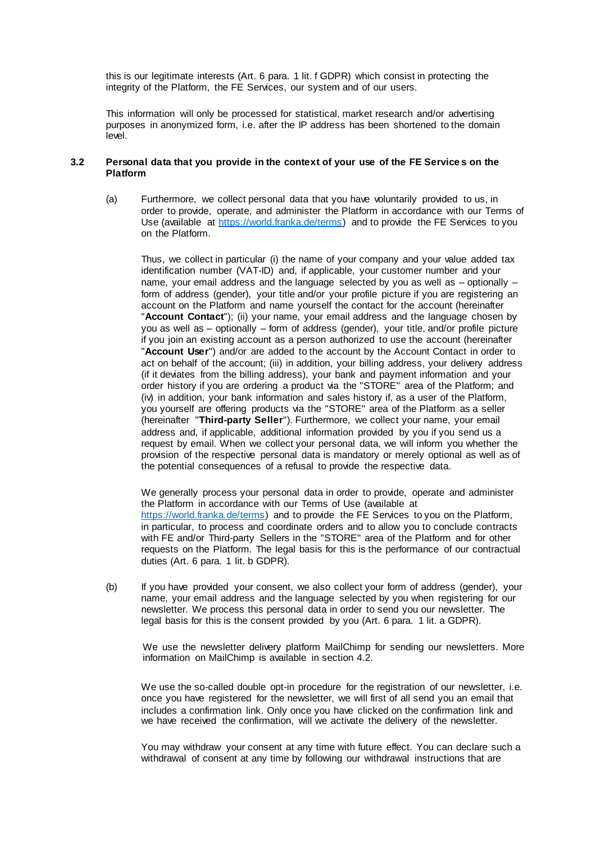this is our legitimate interests (Art. 6 para. 1 lit. f GDPR) which consist in protecting the integrity of the Platform, the FE Services, our system and of our users.

This information will only be processed for statistical, market research and/or advertising purposes in anonymized form, i.e. after the IP address has been shortened to the domain level.

## **3.2 Personal data that you provide in the context of your use of the FE Service s on the Platform**

(a) Furthermore, we collect personal data that you have voluntarily provided to us, in order to provide, operate, and administer the Platform in accordance with our Terms of Use (available at [https://world.franka.de/terms\)](https://world.franka.de/terms) and to provide the FE Services to you on the Platform.

Thus, we collect in particular (i) the name of your company and your value added tax identification number (VAT-ID) and, if applicable, your customer number and your name, your email address and the language selected by you as well as – optionally – form of address (gender), your title and/or your profile picture if you are registering an account on the Platform and name yourself the contact for the account (hereinafter "**Account Contact**"); (ii) your name, your email address and the language chosen by you as well as – optionally – form of address (gender), your title, and/or profile picture if you join an existing account as a person authorized to use the account (hereinafter "**Account User**") and/or are added to the account by the Account Contact in order to act on behalf of the account; (iii) in addition, your billing address, your delivery address (if it deviates from the billing address), your bank and payment information and your order history if you are ordering a product via the "STORE" area of the Platform; and (iv) in addition, your bank information and sales history if, as a user of the Platform, you yourself are offering products via the "STORE" area of the Platform as a seller (hereinafter "**Third-party Seller**"). Furthermore, we collect your name, your email address and, if applicable, additional information provided by you if you send us a request by email. When we collect your personal data, we will inform you whether the provision of the respective personal data is mandatory or merely optional as well as of the potential consequences of a refusal to provide the respective data.

We generally process your personal data in order to provide, operate and administer the Platform in accordance with our Terms of Use (available at [https://world.franka.de/terms\)](https://world.franka.de/terms) and to provide the FE Services to you on the Platform, in particular, to process and coordinate orders and to allow you to conclude contracts with FE and/or Third-party Sellers in the "STORE" area of the Platform and for other requests on the Platform. The legal basis for this is the performance of our contractual duties (Art. 6 para. 1 lit. b GDPR).

(b) If you have provided your consent, we also collect your form of address (gender), your name, your email address and the language selected by you when registering for our newsletter. We process this personal data in order to send you our newsletter. The legal basis for this is the consent provided by you (Art. 6 para. 1 lit. a GDPR).

We use the newsletter delivery platform MailChimp for sending our newsletters. More information on MailChimp is available in section 4.2.

We use the so-called double opt-in procedure for the registration of our newsletter, i.e. once you have registered for the newsletter, we will first of all send you an email that includes a confirmation link. Only once you have clicked on the confirmation link and we have received the confirmation, will we activate the delivery of the newsletter.

You may withdraw your consent at any time with future effect. You can declare such a withdrawal of consent at any time by following our withdrawal instructions that are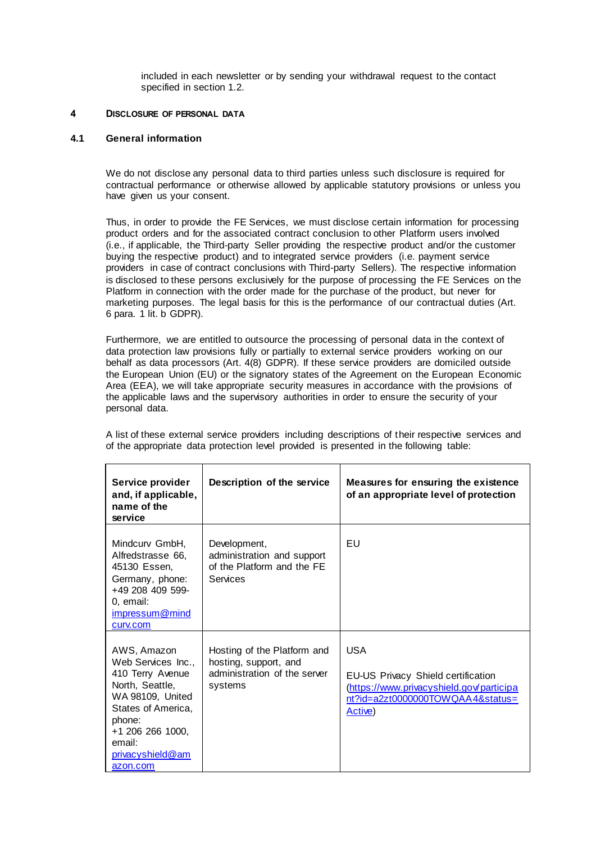included in each newsletter or by sending your withdrawal request to the contact specified in section 1.2.

## **4 DISCLOSURE OF PERSONAL DATA**

# **4.1 General information**

We do not disclose any personal data to third parties unless such disclosure is required for contractual performance or otherwise allowed by applicable statutory provisions or unless you have given us your consent.

Thus, in order to provide the FE Services, we must disclose certain information for processing product orders and for the associated contract conclusion to other Platform users involved (i.e., if applicable, the Third-party Seller providing the respective product and/or the customer buying the respective product) and to integrated service providers (i.e. payment service providers in case of contract conclusions with Third-party Sellers). The respective information is disclosed to these persons exclusively for the purpose of processing the FE Services on the Platform in connection with the order made for the purchase of the product, but never for marketing purposes. The legal basis for this is the performance of our contractual duties (Art. 6 para. 1 lit. b GDPR).

Furthermore, we are entitled to outsource the processing of personal data in the context of data protection law provisions fully or partially to external service providers working on our behalf as data processors (Art. 4(8) GDPR). If these service providers are domiciled outside the European Union (EU) or the signatory states of the Agreement on the European Economic Area (EEA), we will take appropriate security measures in accordance with the provisions of the applicable laws and the supervisory authorities in order to ensure the security of your personal data.

A list of these external service providers including descriptions of their respective services and of the appropriate data protection level provided is presented in the following table:

| Service provider<br>and, if applicable,<br>name of the<br>service                                                                                                                                 | Description of the service                                                                      | Measures for ensuring the existence<br>of an appropriate level of protection                                                                |
|---------------------------------------------------------------------------------------------------------------------------------------------------------------------------------------------------|-------------------------------------------------------------------------------------------------|---------------------------------------------------------------------------------------------------------------------------------------------|
| Mindcurv GmbH,<br>Alfredstrasse 66,<br>45130 Essen,<br>Germany, phone:<br>+49 208 409 599-<br>0, email:<br>impressum@mind<br>curv.com                                                             | Development,<br>administration and support<br>of the Platform and the FE<br>Services            | EU                                                                                                                                          |
| AWS, Amazon<br>Web Services Inc.,<br>410 Terry Avenue<br>North, Seattle,<br>WA 98109, United<br>States of America,<br>phone:<br>+1 206 266 1000,<br>email:<br><u>privacyshield@am</u><br>azon.com | Hosting of the Platform and<br>hosting, support, and<br>administration of the server<br>systems | <b>USA</b><br>EU-US Privacy Shield certification<br>(https://www.privacyshield.gov/participa<br>nt?id=a2zt0000000TOWQAA4&status=<br>Active) |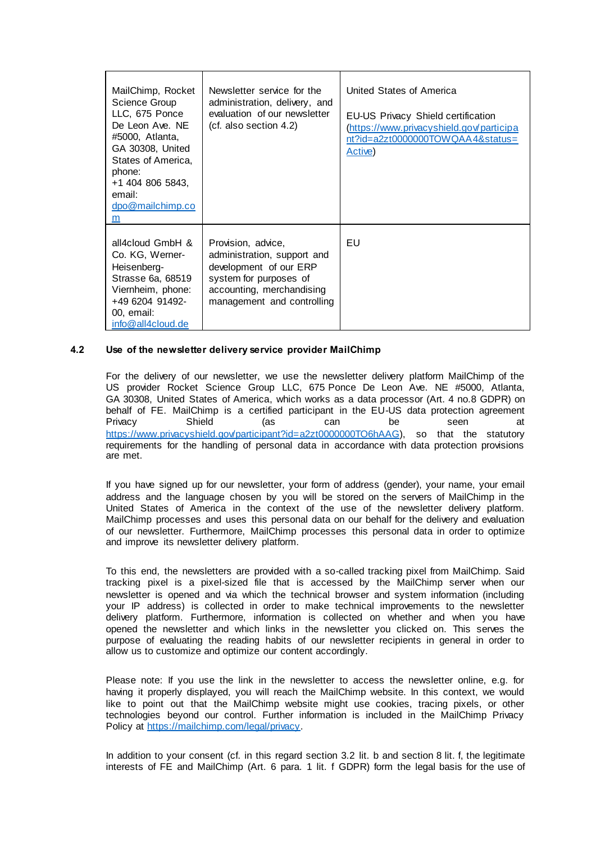| MailChimp, Rocket<br>Science Group<br>LLC, 675 Ponce<br>De Leon Ave. NE<br>#5000, Atlanta,<br>GA 30308, United<br>States of America,<br>phone:<br>+1 404 806 5843,<br>email:<br>dpo@mailchimp.co<br>m | Newsletter service for the<br>administration, delivery, and<br>evaluation of our newsletter<br>$(ct.$ also section 4.2)                                          | United States of America<br>EU-US Privacy Shield certification<br>(https://www.privacyshield.gov/participa<br>nt?id=a2zt0000000TOWQAA4&status=<br>Active) |
|-------------------------------------------------------------------------------------------------------------------------------------------------------------------------------------------------------|------------------------------------------------------------------------------------------------------------------------------------------------------------------|-----------------------------------------------------------------------------------------------------------------------------------------------------------|
| all4cloud GmbH &<br>Co. KG, Werner-<br>Heisenberg-<br>Strasse 6a, 68519<br>Viernheim, phone:<br>+49 6204 91492-<br>00, email:<br>info@all4cloud.de                                                    | Provision, advice,<br>administration, support and<br>development of our ERP<br>system for purposes of<br>accounting, merchandising<br>management and controlling | EU.                                                                                                                                                       |

## **4.2 Use of the newsletter delivery service provider MailChimp**

For the delivery of our newsletter, we use the newsletter delivery platform MailChimp of the US provider Rocket Science Group LLC, 675 Ponce De Leon Ave. NE #5000, Atlanta, GA 30308, United States of America, which works as a data processor (Art. 4 no.8 GDPR) on behalf of FE. MailChimp is a certified participant in the EU-US data protection agreement<br>Privacy can be seen at Privacy Shield (as can be seen at [https://www.privacyshield.gov/participant?id=a2zt0000000TO6hAAG\),](https://www.privacyshield.gov/participant?id=a2zt0000000TO6hAAG) so that the statutory requirements for the handling of personal data in accordance with data protection provisions are met.

If you have signed up for our newsletter, your form of address (gender), your name, your email address and the language chosen by you will be stored on the servers of MailChimp in the United States of America in the context of the use of the newsletter delivery platform. MailChimp processes and uses this personal data on our behalf for the delivery and evaluation of our newsletter. Furthermore, MailChimp processes this personal data in order to optimize and improve its newsletter delivery platform.

To this end, the newsletters are provided with a so-called tracking pixel from MailChimp. Said tracking pixel is a pixel-sized file that is accessed by the MailChimp server when our newsletter is opened and via which the technical browser and system information (including your IP address) is collected in order to make technical improvements to the newsletter delivery platform. Furthermore, information is collected on whether and when you have opened the newsletter and which links in the newsletter you clicked on. This serves the purpose of evaluating the reading habits of our newsletter recipients in general in order to allow us to customize and optimize our content accordingly.

Please note: If you use the link in the newsletter to access the newsletter online, e.g. for having it properly displayed, you will reach the MailChimp website. In this context, we would like to point out that the MailChimp website might use cookies, tracing pixels, or other technologies beyond our control. Further information is included in the MailChimp Privacy Policy at [https://mailchimp.com/legal/privacy.](https://mailchimp.com/legal/privacy)

In addition to your consent (cf. in this regard section 3.2 lit. b and section 8 lit. f, the legitimate interests of FE and MailChimp (Art. 6 para. 1 lit. f GDPR) form the legal basis for the use of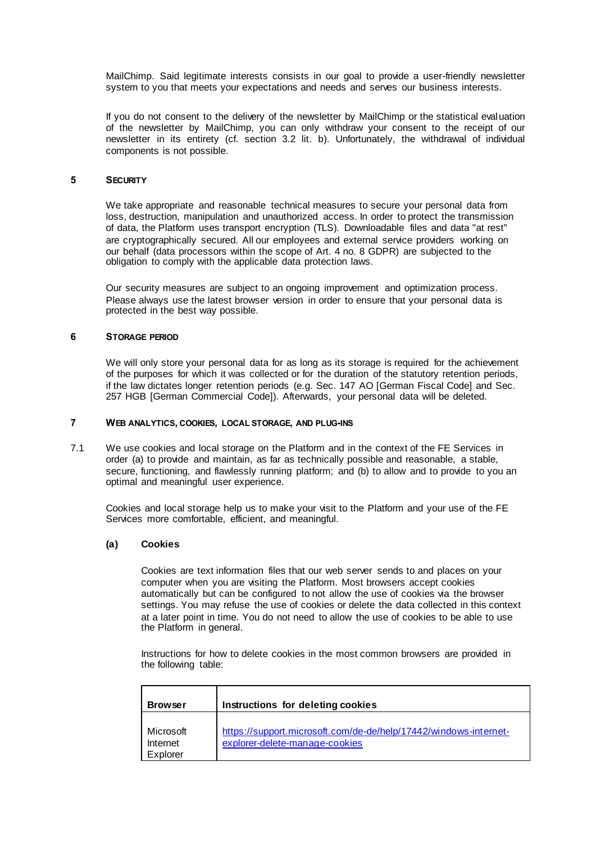MailChimp. Said legitimate interests consists in our goal to provide a user-friendly newsletter system to you that meets your expectations and needs and serves our business interests.

If you do not consent to the delivery of the newsletter by MailChimp or the statistical evaluation of the newsletter by MailChimp, you can only withdraw your consent to the receipt of our newsletter in its entirety (cf. section 3.2 lit. b). Unfortunately, the withdrawal of individual components is not possible.

#### **5 SECURITY**

We take appropriate and reasonable technical measures to secure your personal data from loss, destruction, manipulation and unauthorized access. In order to protect the transmission of data, the Platform uses transport encryption (TLS). Downloadable files and data "at rest" are cryptographically secured. All our employees and external service providers working on our behalf (data processors within the scope of Art. 4 no. 8 GDPR) are subjected to the obligation to comply with the applicable data protection laws.

Our security measures are subject to an ongoing improvement and optimization process. Please always use the latest browser version in order to ensure that your personal data is protected in the best way possible.

### **6 STORAGE PERIOD**

We will only store your personal data for as long as its storage is required for the achievement of the purposes for which it was collected or for the duration of the statutory retention periods, if the law dictates longer retention periods (e.g. Sec. 147 AO [German Fiscal Code] and Sec. 257 HGB [German Commercial Code]). Afterwards, your personal data will be deleted.

### **7 WEB ANALYTICS, COOKIES, LOCAL STORAGE, AND PLUG-INS**

7.1 We use cookies and local storage on the Platform and in the context of the FE Services in order (a) to provide and maintain, as far as technically possible and reasonable, a stable, secure, functioning, and flawlessly running platform; and (b) to allow and to provide to you an optimal and meaningful user experience.

Cookies and local storage help us to make your visit to the Platform and your use of the FE Services more comfortable, efficient, and meaningful.

### **(a) Cookies**

Cookies are text information files that our web server sends to and places on your computer when you are visiting the Platform. Most browsers accept cookies automatically but can be configured to not allow the use of cookies via the browser settings. You may refuse the use of cookies or delete the data collected in this context at a later point in time. You do not need to allow the use of cookies to be able to use the Platform in general.

Instructions for how to delete cookies in the most common browsers are provided in the following table:

| <b>Browser</b>                    | Instructions for deleting cookies                                                                  |
|-----------------------------------|----------------------------------------------------------------------------------------------------|
| Microsoft<br>Internet<br>Explorer | https://support.microsoft.com/de-de/help/17442/windows-internet-<br>explorer-delete-manage-cookies |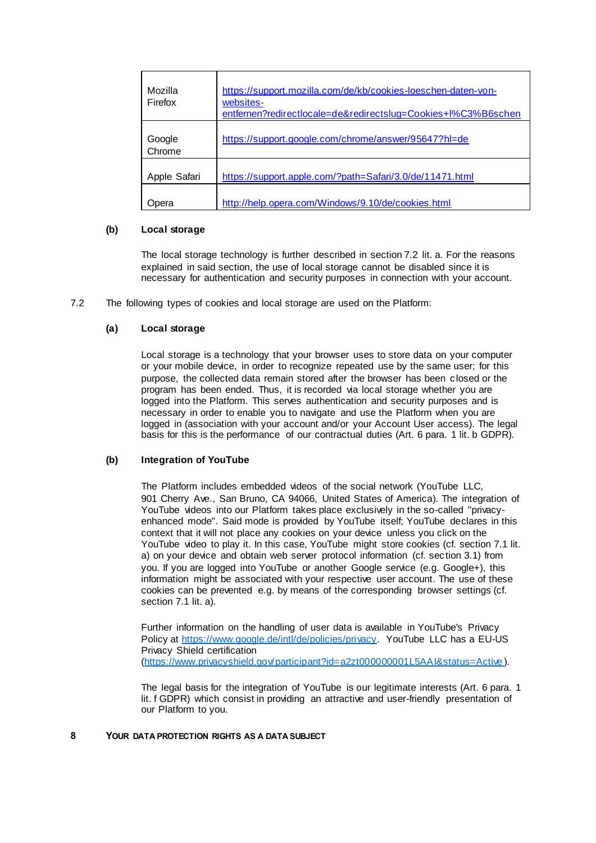| Mozilla<br>Firefox | https://support.mozilla.com/de/kb/cookies-loeschen-daten-von-<br>websites-<br>entfernen?redirectlocale=de&redirectslug=Cookies+l%C3%B6schen |
|--------------------|---------------------------------------------------------------------------------------------------------------------------------------------|
| Google<br>Chrome   | https://support.google.com/chrome/answer/95647?hl=de                                                                                        |
| Apple Safari       | https://support.apple.com/?path=Safari/3.0/de/11471.html                                                                                    |
| )pera              | http://help.opera.com/Windows/9.10/de/cookies.html                                                                                          |

## **(b) Local storage**

The local storage technology is further described in section 7.2 lit. a. For the reasons explained in said section, the use of local storage cannot be disabled since it is necessary for authentication and security purposes in connection with your account.

7.2 The following types of cookies and local storage are used on the Platform:

# **(a) Local storage**

Local storage is a technology that your browser uses to store data on your computer or your mobile device, in order to recognize repeated use by the same user; for this purpose, the collected data remain stored after the browser has been closed or the program has been ended. Thus, it is recorded via local storage whether you are logged into the Platform. This serves authentication and security purposes and is necessary in order to enable you to navigate and use the Platform when you are logged in (association with your account and/or your Account User access). The legal basis for this is the performance of our contractual duties (Art. 6 para. 1 lit. b GDPR).

## **(b) Integration of YouTube**

The Platform includes embedded videos of the social network (YouTube LLC, 901 Cherry Ave., San Bruno, CA 94066, United States of America). The integration of YouTube videos into our Platform takes place exclusively in the so-called "privacyenhanced mode". Said mode is provided by YouTube itself; YouTube declares in this context that it will not place any cookies on your device unless you click on the YouTube video to play it. In this case, YouTube might store cookies (cf. section 7.1 lit. a) on your device and obtain web server protocol information (cf. section 3.1) from you. If you are logged into YouTube or another Google service (e.g. Google+), this information might be associated with your respective user account. The use of these cookies can be prevented e.g. by means of the corresponding browser settings (cf. section 7.1 lit. a).

Further information on the handling of user data is available in YouTube's Privacy Policy at [https://www.google.de/intl/de/policies/privacy.](https://www.google.de/intl/de/policies/privacy) YouTube LLC has a EU-US Privacy Shield certification [\(https://www.privacyshield.gov/participant?id=a2zt000000001L5AAI&status=Active](https://www.privacyshield.gov/participant?id=a2zt000000001L5AAI&status=Active) ).

The legal basis for the integration of YouTube is our legitimate interests (Art. 6 para. 1 lit. f GDPR) which consist in providing an attractive and user-friendly presentation of our Platform to you.

#### **8 YOUR DATA PROTECTION RIGHTS AS A DATA SUBJECT**